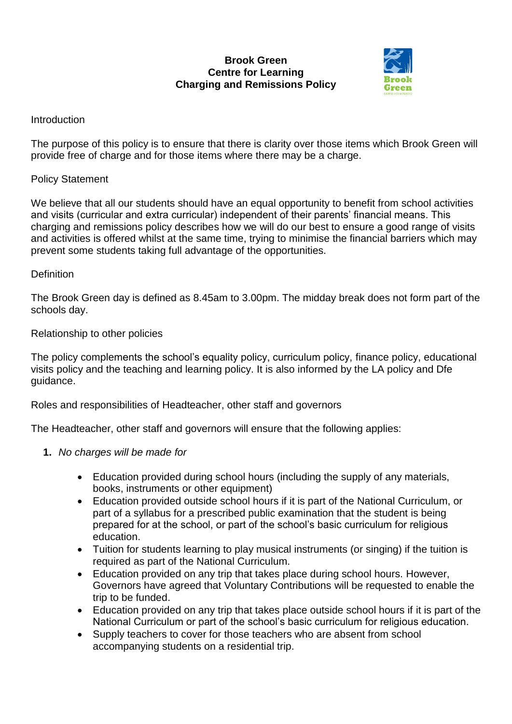#### **Brook Green Centre for Learning Charging and Remissions Policy**



## Introduction

The purpose of this policy is to ensure that there is clarity over those items which Brook Green will provide free of charge and for those items where there may be a charge.

### Policy Statement

We believe that all our students should have an equal opportunity to benefit from school activities and visits (curricular and extra curricular) independent of their parents' financial means. This charging and remissions policy describes how we will do our best to ensure a good range of visits and activities is offered whilst at the same time, trying to minimise the financial barriers which may prevent some students taking full advantage of the opportunities.

### **Definition**

The Brook Green day is defined as 8.45am to 3.00pm. The midday break does not form part of the schools day.

### Relationship to other policies

The policy complements the school's equality policy, curriculum policy, finance policy, educational visits policy and the teaching and learning policy. It is also informed by the LA policy and Dfe guidance.

Roles and responsibilities of Headteacher, other staff and governors

The Headteacher, other staff and governors will ensure that the following applies:

- **1.** *No charges will be made for*
	- Education provided during school hours (including the supply of any materials, books, instruments or other equipment)
	- Education provided outside school hours if it is part of the National Curriculum, or part of a syllabus for a prescribed public examination that the student is being prepared for at the school, or part of the school's basic curriculum for religious education.
	- Tuition for students learning to play musical instruments (or singing) if the tuition is required as part of the National Curriculum.
	- Education provided on any trip that takes place during school hours. However, Governors have agreed that Voluntary Contributions will be requested to enable the trip to be funded.
	- Education provided on any trip that takes place outside school hours if it is part of the National Curriculum or part of the school's basic curriculum for religious education.
	- Supply teachers to cover for those teachers who are absent from school accompanying students on a residential trip.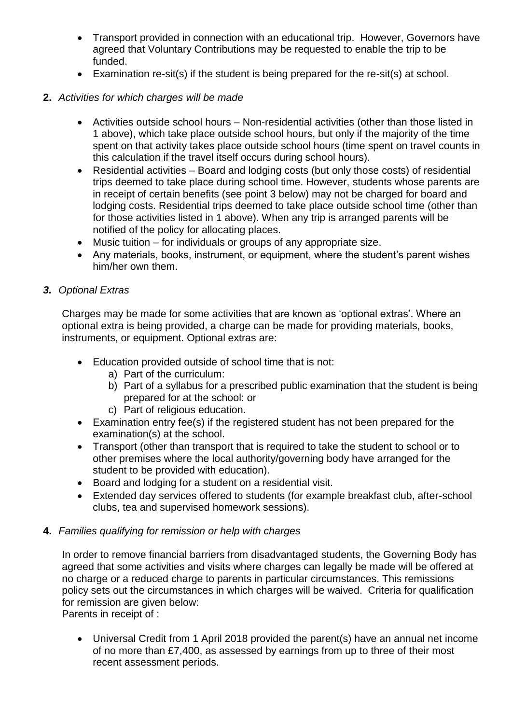- Transport provided in connection with an educational trip. However, Governors have agreed that Voluntary Contributions may be requested to enable the trip to be funded.
- Examination re-sit(s) if the student is being prepared for the re-sit(s) at school.

# **2.** *Activities for which charges will be made*

- Activities outside school hours Non-residential activities (other than those listed in 1 above), which take place outside school hours, but only if the majority of the time spent on that activity takes place outside school hours (time spent on travel counts in this calculation if the travel itself occurs during school hours).
- Residential activities Board and lodging costs (but only those costs) of residential trips deemed to take place during school time. However, students whose parents are in receipt of certain benefits (see point 3 below) may not be charged for board and lodging costs. Residential trips deemed to take place outside school time (other than for those activities listed in 1 above). When any trip is arranged parents will be notified of the policy for allocating places.
- Music tuition for individuals or groups of any appropriate size.
- Any materials, books, instrument, or equipment, where the student's parent wishes him/her own them.

# *3. Optional Extras*

Charges may be made for some activities that are known as 'optional extras'. Where an optional extra is being provided, a charge can be made for providing materials, books, instruments, or equipment. Optional extras are:

- Education provided outside of school time that is not:
	- a) Part of the curriculum:
	- b) Part of a syllabus for a prescribed public examination that the student is being prepared for at the school: or
	- c) Part of religious education.
- Examination entry fee(s) if the registered student has not been prepared for the examination(s) at the school.
- Transport (other than transport that is required to take the student to school or to other premises where the local authority/governing body have arranged for the student to be provided with education).
- Board and lodging for a student on a residential visit.
- Extended day services offered to students (for example breakfast club, after-school clubs, tea and supervised homework sessions).

# **4.** *Families qualifying for remission or help with charges*

In order to remove financial barriers from disadvantaged students, the Governing Body has agreed that some activities and visits where charges can legally be made will be offered at no charge or a reduced charge to parents in particular circumstances. This remissions policy sets out the circumstances in which charges will be waived. Criteria for qualification for remission are given below:

Parents in receipt of :

 Universal Credit from 1 April 2018 provided the parent(s) have an annual net income of no more than £7,400, as assessed by earnings from up to three of their most recent assessment periods.